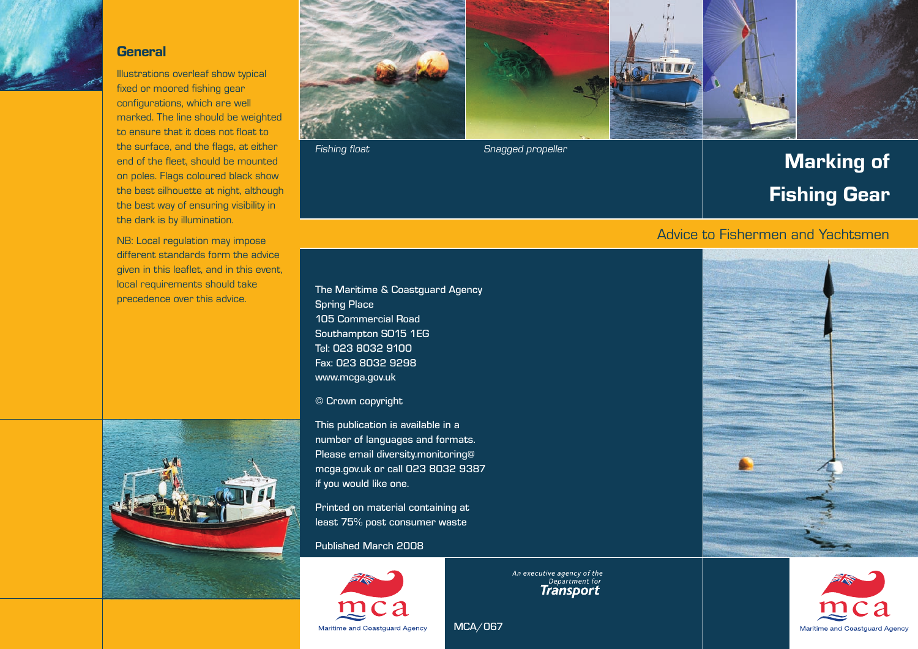#### **General**

Illustrations overleaf show typical fixed or moored fishing gear configurations, which are well marked. The line should be weighted to ensure that it does not float to the surface, and the flags, at either end of the fleet, should be mounted on poles. Flags coloured black show the best silhouette at night, although the best way of ensuring visibility in the dark is by illumination.

NB: Local regulation may impose different standards form the advice given in this leaflet, and in this event, local requirements should take precedence over this advice.







Fishing float Snagged propeller

# Marking of Fishing Gear

### Advice to Fishermen and Yachtsmen

Spring Place 105 Commercial Road Southampton SO15 1EG Tel: 023 8032 9100 Fax: 023 8032 9298 www.mcga.gov.uk

© Crown copyright

This publication is available in a number of languages and formats. Please email diversity.monitoring@ mcga.gov.uk or call 023 8032 9387 if you would like one.

Printed on material containing at least 75% post consumer waste

#### Published March 2008



An executive agency of the<br>Department for<br>**Transport** 

MCA/067



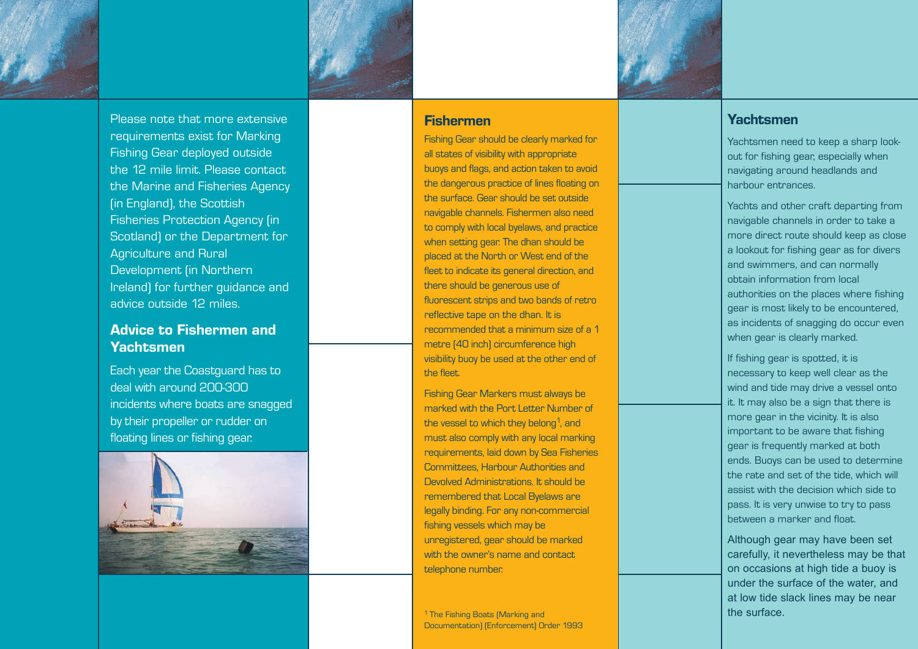

Please note that more extensive requirements exist for Marking Fishing Gear deployed outside the 12 mile limit. Please contact the Marine and Fisheries Agency (in England), the Scottish Fisheries Protection Agency (in Scotland) or the Department for Agriculture and Rural Development (in Northern Ireland) for further guidance and advice outside 12 miles.

### Advice to Fishermen and Yachtsmen

Each year the Coastguard has to deal with around 200-300 incidents where boats are snagged by their propeller or rudder on floating lines or fishing gear.



### Fishermen

Fishing Gear should be clearly marked for all states of visibility with appropriate buoys and flags, and action taken to avoid the dangerous practice of lines floating on the surface. Gear should be set outside navigable channels. Fishermen also need to comply with local byelaws, and practice when setting gear. The dhan should be placed at the North or West end of the fleet to indicate its general direction, and there should be generous use of fluorescent strips and two bands of retro reflective tape on the dhan. It is recommended that a minimum size of a 1 metre (40 inch) circumference high visibility buoy be used at the other end of the fleet.

Fishing Gear Markers must always be marked with the Port Letter Number of the vessel to which they belong<sup>1</sup>, and must also comply with any local marking requirements, laid down by Sea Fisheries Committees, Harbour Authorities and Devolved Administrations. It should be remembered that Local Byelaws are legally binding. For any non-commercial fishing vessels which may be unregistered, gear should be marked with the owner's name and contact. telephone number.

<sup>1</sup> The Fishing Boats (Marking and Documentation) (Enforcement) Order 1993

### Yachtsmen

Yachtsmen need to keep a sharp lookout for fishing gear, especially when navigating around headlands and harbour entrances.

Yachts and other craft departing from navigable channels in order to take a more direct route should keep as close a lookout for fishing gear as for divers and swimmers, and can normally obtain information from local authorities on the places where fishing gear is most likely to be encountered, as incidents of snagging do occur even when gear is clearly marked.

If fishing gear is spotted, it is necessary to keep well clear as the wind and tide may drive a vessel onto it. It may also be a sign that there is more gear in the vicinity. It is also important to be aware that fishing gear is frequently marked at both ends. Buoys can be used to determine the rate and set of the tide, which will assist with the decision which side to pass. It is very unwise to try to pass between a marker and float.

Although gear may have been set carefully, it nevertheless may be that on occasions at high tide a buoy is under the surface of the water, and at low tide slack lines may be near the surface.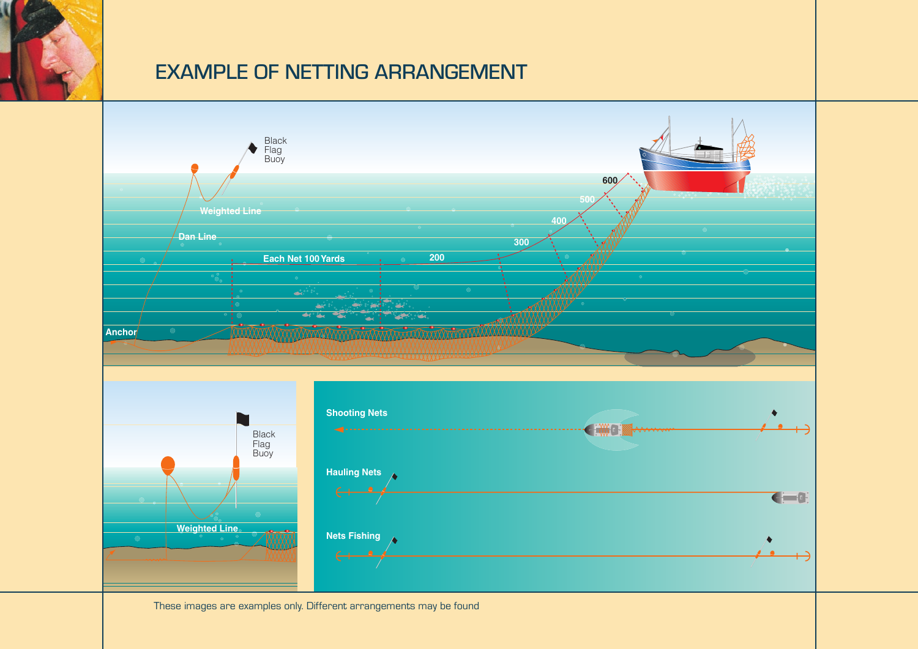

# EXAMPLE OF NETTING ARRANGEMENT



 $\mathbb{R}^n \times \mathbb{R}^n$ These images are examples only. Different arrangements may be found